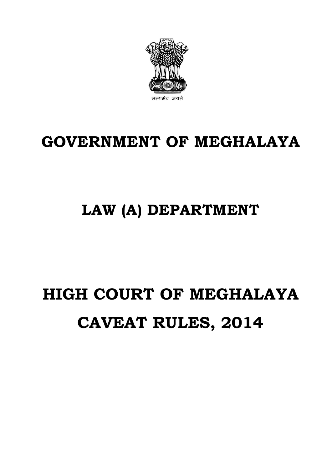# **HIGH COURT OF MEGHALAYA CAVEAT RULES, 2014**

# **LAW (A) DEPARTMENT**

# **GOVERNMENT OF MEGHALAYA**

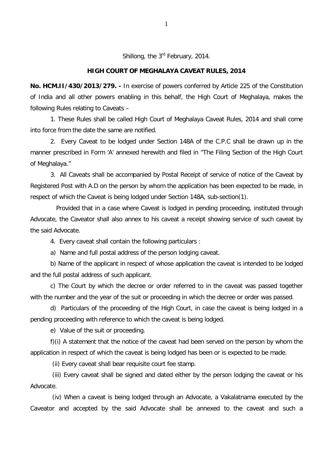Shillong, the 3<sup>rd</sup> February, 2014.

## **HIGH COURT OF MEGHALAYA CAVEAT RULES, 2014**

**No. HCM.II/430/2013/279. -** In exercise of powers conferred by Article 225 of the Constitution of India and all other powers enabling in this behalf, the High Court of Meghalaya, makes the following Rules relating to Caveats –

1. These Rules shall be called High Court of Meghalaya Caveat Rules, 2014 and shall come into force from the date the same are notified.

2. Every Caveat to be lodged under Section 148A of the C.P.C shall be drawn up in the manner prescribed in Form 'A' annexed herewith and filed in "The Filing Section of the High Court of Meghalaya."

3. All Caveats shall be accompanied by Postal Receipt of service of notice of the Caveat by Registered Post with A.D on the person by whom the application has been expected to be made, in respect of which the Caveat is being lodged under Section 148A, sub-section(1).

 Provided that in a case where Caveat is lodged in pending proceeding, instituted through Advocate, the Caveator shall also annex to his caveat a receipt showing service of such caveat by the said Advocate.

4. Every caveat shall contain the following particulars :

a) Name and full postal address of the person lodging caveat.

b) Name of the applicant in respect of whose application the caveat is intended to be lodged and the full postal address of such applicant.

c) The Court by which the decree or order referred to in the caveat was passed together with the number and the year of the suit or proceeding in which the decree or order was passed.

d) Particulars of the proceeding of the High Court, in case the caveat is being lodged in a pending proceeding with reference to which the caveat is being lodged.

e) Value of the suit or proceeding.

f)(i) A statement that the notice of the caveat had been served on the person by whom the application in respect of which the caveat is being lodged has been or is expected to be made.

(ii) Every caveat shall bear requisite court fee stamp.

(iii) Every caveat shall be signed and dated either by the person lodging the caveat or his Advocate.

(iv) When a caveat is being lodged through an Advocate, a Vakalatnama executed by the Caveator and accepted by the said Advocate shall be annexed to the caveat and such a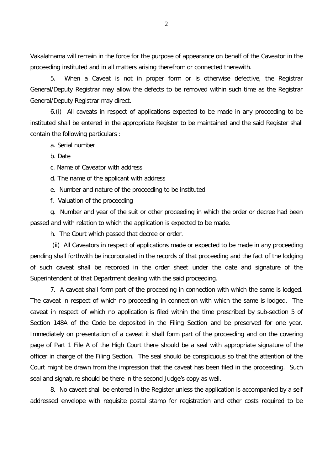Vakalatnama will remain in the force for the purpose of appearance on behalf of the Caveator in the proceeding instituted and in all matters arising therefrom or connected therewith.

5. When a Caveat is not in proper form or is otherwise defective, the Registrar General/Deputy Registrar may allow the defects to be removed within such time as the Registrar General/Deputy Registrar may direct.

6.(i) All caveats in respect of applications expected to be made in any proceeding to be instituted shall be entered in the appropriate Register to be maintained and the said Register shall contain the following particulars :

a. Serial number

b. Date

c. Name of Caveator with address

d. The name of the applicant with address

e. Number and nature of the proceeding to be instituted

f. Valuation of the proceeding

g. Number and year of the suit or other proceeding in which the order or decree had been passed and with relation to which the application is expected to be made.

h. The Court which passed that decree or order.

(ii) All Caveators in respect of applications made or expected to be made in any proceeding pending shall forthwith be incorporated in the records of that proceeding and the fact of the lodging of such caveat shall be recorded in the order sheet under the date and signature of the Superintendent of that Department dealing with the said proceeding.

7. A caveat shall form part of the proceeding in connection with which the same is lodged. The caveat in respect of which no proceeding in connection with which the same is lodged. The caveat in respect of which no application is filed within the time prescribed by sub-section 5 of Section 148A of the Code be deposited in the Filing Section and be preserved for one year. Immediately on presentation of a caveat it shall form part of the proceeding and on the covering page of Part 1 File A of the High Court there should be a seal with appropriate signature of the officer in charge of the Filing Section. The seal should be conspicuous so that the attention of the Court might be drawn from the impression that the caveat has been filed in the proceeding. Such seal and signature should be there in the second Judge's copy as well.

8. No caveat shall be entered in the Register unless the application is accompanied by a self addressed envelope with requisite postal stamp for registration and other costs required to be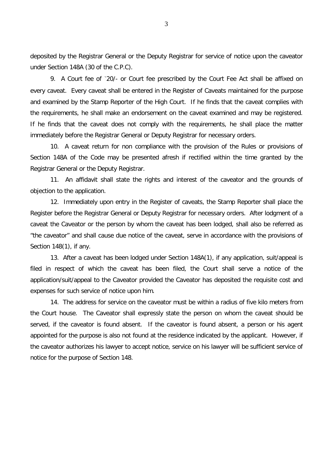deposited by the Registrar General or the Deputy Registrar for service of notice upon the caveator under Section 148A (30 of the C.P.C).

9. A Court fee of `20/- or Court fee prescribed by the Court Fee Act shall be affixed on every caveat. Every caveat shall be entered in the Register of Caveats maintained for the purpose and examined by the Stamp Reporter of the High Court. If he finds that the caveat complies with the requirements, he shall make an endorsement on the caveat examined and may be registered. If he finds that the caveat does not comply with the requirements, he shall place the matter immediately before the Registrar General or Deputy Registrar for necessary orders.

10. A caveat return for non compliance with the provision of the Rules or provisions of Section 148A of the Code may be presented afresh if rectified within the time granted by the Registrar General or the Deputy Registrar.

11. An affidavit shall state the rights and interest of the caveator and the grounds of objection to the application.

12. Immediately upon entry in the Register of caveats, the Stamp Reporter shall place the Register before the Registrar General or Deputy Registrar for necessary orders. After lodgment of a caveat the Caveator or the person by whom the caveat has been lodged, shall also be referred as "the caveator" and shall cause due notice of the caveat, serve in accordance with the provisions of Section 148(1), if any.

13. After a caveat has been lodged under Section 148A(1), if any application, suit/appeal is filed in respect of which the caveat has been filed, the Court shall serve a notice of the application/suit/appeal to the Caveator provided the Caveator has deposited the requisite cost and expenses for such service of notice upon him.

14. The address for service on the caveator must be within a radius of five kilo meters from the Court house. The Caveator shall expressly state the person on whom the caveat should be served, if the caveator is found absent. If the caveator is found absent, a person or his agent appointed for the purpose is also not found at the residence indicated by the applicant. However, if the caveator authorizes his lawyer to accept notice, service on his lawyer will be sufficient service of notice for the purpose of Section 148.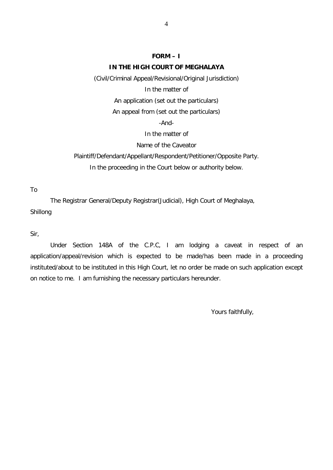# **FORM – I**

### **IN THE HIGH COURT OF MEGHALAYA**

(Civil/Criminal Appeal/Revisional/Original Jurisdiction)

In the matter of

An application (set out the particulars)

An appeal from (set out the particulars)

-And-

In the matter of

### Name of the Caveator

Plaintiff/Defendant/Appellant/Respondent/Petitioner/Opposite Party. In the proceeding in the Court below or authority below.

To

The Registrar General/Deputy Registrar(Judicial), High Court of Meghalaya, Shillong

Sir,

Under Section 148A of the C.P.C, I am lodging a caveat in respect of an application/appeal/revision which is expected to be made/has been made in a proceeding instituted/about to be instituted in this High Court, let no order be made on such application except on notice to me. I am furnishing the necessary particulars hereunder.

Yours faithfully,